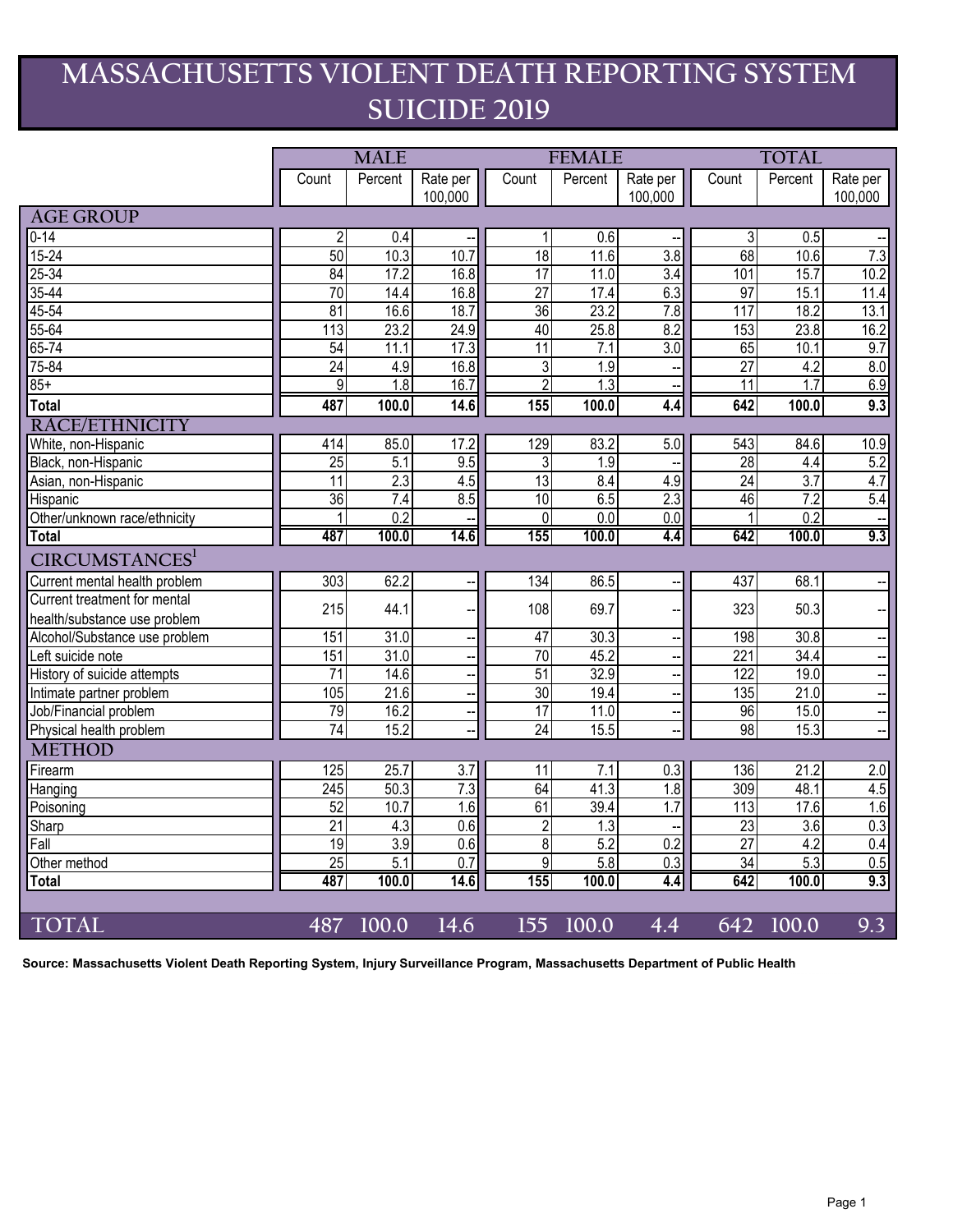## **MASSACHUSETTS VIOLENT DEATH REPORTING SYSTEM SUICIDE 2019**

|                               | <b>MALE</b>     |                  |                          |                 | <b>FEMALE</b>    |                  | <b>TOTAL</b>     |         |                      |
|-------------------------------|-----------------|------------------|--------------------------|-----------------|------------------|------------------|------------------|---------|----------------------|
|                               | Count           | Percent          | Rate per                 | Count           | Percent          | Rate per         | Count            | Percent | Rate per             |
|                               |                 |                  | 100,000                  |                 |                  | 100,000          |                  |         | 100,000              |
| <b>AGE GROUP</b>              |                 |                  |                          |                 |                  |                  |                  |         |                      |
| $0 - 14$                      | $\overline{2}$  | 0.4              |                          | 1               | $\overline{0.6}$ |                  | 3                | 0.5     |                      |
| $15 - 24$                     | 50              | 10.3             | 10.7                     | 18              | 11.6             | 3.8              | 68               | 10.6    | 7.3                  |
| $25 - 34$                     | 84              | 17.2             | 16.8                     | 17              | 11.0             | 3.4              | 101              | 15.7    | 10.2                 |
| $35 - 44$                     | 70              | 14.4             | 16.8                     | 27              | 17.4             | 6.3              | 97               | 15.1    | 11.4                 |
| $45 - 54$                     | $\overline{81}$ | 16.6             | 18.7                     | 36              | 23.2             | 7.8              | 117              | 18.2    | 13.1                 |
| $55 - 64$                     | 113             | 23.2             | 24.9                     | 40              | 25.8             | 8.2              | 153              | 23.8    | 16.2                 |
| $65 - 74$                     | 54              | 11.1             | 17.3                     | $\overline{11}$ | 7.1              | $\overline{3.0}$ | 65               | 10.1    | 9.7                  |
| 75-84                         | 24              | 4.9              | 16.8                     | $\overline{3}$  | 1.9              |                  | $\overline{27}$  | 4.2     | 8.0                  |
| $85+$                         | $\overline{9}$  | $\overline{1.8}$ | 16.7                     | $\overline{2}$  | $\overline{1.3}$ |                  | $\overline{11}$  | 1.7     | 6.9                  |
| <b>Total</b>                  | 487             | 100.0            | 14.6                     | 155             | 100.0            | 4.4              | 642              | 100.0   | 9.3                  |
| RACE/ETHNICITY                |                 |                  |                          |                 |                  |                  |                  |         |                      |
| White, non-Hispanic           | 414             | 85.0             | 17.2                     | 129             | 83.2             | 5.0              | 543              | 84.6    | 10.9                 |
| Black, non-Hispanic           | $\overline{25}$ | 5.1              | 9.5                      | 3               | 1.9              |                  | 28               | 4.4     | 5.2                  |
| Asian, non-Hispanic           | $\overline{11}$ | 2.3              | 4.5                      | $\overline{13}$ | 8.4              | 4.9              | 24               | 3.7     | 4.7                  |
| Hispanic                      | 36              | $\overline{7.4}$ | 8.5                      | 10              | 6.5              | 2.3              | 46               | 7.2     | 5.4                  |
| Other/unknown race/ethnicity  | 1               | 0.2              |                          | $\mathbf 0$     | 0.0              | 0.0              | 1                | 0.2     |                      |
| <b>Total</b>                  | 487             | 100.0            | 14.6                     | 155             | 100.0            | 4.4              | 642              | 100.0   | $\overline{9.3}$     |
| CIRCUMSTANCES <sup>1</sup>    |                 |                  |                          |                 |                  |                  |                  |         |                      |
| Current mental health problem | 303             | 62.2             | $\overline{\phantom{a}}$ | 134             | 86.5             |                  | 437              | 68.1    |                      |
| Current treatment for mental  | 215             | 44.1             |                          | 108             | 69.7             |                  | 323              | 50.3    |                      |
| health/substance use problem  |                 |                  |                          |                 |                  |                  |                  |         |                      |
| Alcohol/Substance use problem | 151             | 31.0             | $\overline{\phantom{a}}$ | 47              | 30.3             |                  | 198              | 30.8    |                      |
| Left suicide note             | 151             | 31.0             |                          | $\overline{70}$ | 45.2             |                  | $\overline{221}$ | 34.4    |                      |
| History of suicide attempts   | $\overline{71}$ | 14.6             | $\overline{\phantom{a}}$ | 51              | 32.9             |                  | 122              | 19.0    | $\ddot{\phantom{a}}$ |
| Intimate partner problem      | 105             | 21.6             |                          | 30              | 19.4             |                  | 135              | 21.0    | $\equiv$             |
| Job/Financial problem         | 79              | 16.2             | $\overline{\phantom{a}}$ | 17              | 11.0             | --               | 96               | 15.0    | $\frac{1}{\sqrt{2}}$ |
| Physical health problem       | 74              | 15.2             |                          | 24              | 15.5             |                  | 98               | 15.3    |                      |
| <b>METHOD</b>                 |                 |                  |                          |                 |                  |                  |                  |         |                      |
| Firearm                       | 125             | 25.7             | $\overline{3.7}$         | $\overline{11}$ | $\overline{7.1}$ | 0.3              | 136              | 21.2    | 2.0                  |
| Hanging                       | 245             | 50.3             | 7.3                      | 64              | 41.3             | 1.8              | 309              | 48.1    | 4.5                  |
| Poisoning                     | 52              | 10.7             | 1.6                      | 61              | 39.4             | 1.7              | 113              | 17.6    | 1.6                  |
| Sharp                         | $\overline{21}$ | 4.3              | 0.6                      | $\overline{2}$  | $\overline{1.3}$ |                  | 23               | 3.6     | 0.3                  |
| Fall                          | 19              | 3.9              | 0.6                      | $\overline{8}$  | 5.2              | 0.2              | $\overline{27}$  | 4.2     | 0.4                  |
| Other method                  | 25              | $\overline{5.1}$ | $\overline{0.7}$         | $\overline{9}$  | 5.8              | 0.3              | 34               | 5.3     | 0.5                  |
| <b>Total</b>                  | 487             | 100.0            | 14.6                     | 155             | 100.0            | 4.4              | 642              | 100.0   | 9.3                  |
|                               |                 |                  |                          |                 |                  |                  |                  |         |                      |
| TOTAL                         | 487             | 100.0            | 14.6                     | 155             | 100.0            | 4.4              | 642              | 100.0   | 9.3                  |

**Source: Massachusetts Violent Death Reporting System, Injury Surveillance Program, Massachusetts Department of Public Health**